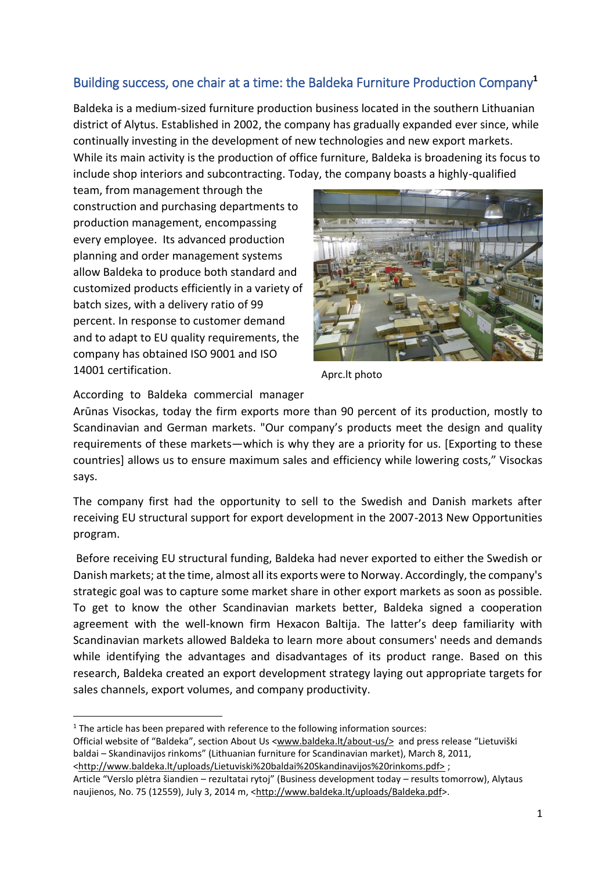## Building success, one chair at a time: the Baldeka Furniture Production Company**<sup>1</sup>**

Baldeka is a medium-sized furniture production business located in the southern Lithuanian district of Alytus. Established in 2002, the company has gradually expanded ever since, while continually investing in the development of new technologies and new export markets. While its main activity is the production of office furniture, Baldeka is broadening its focus to include shop interiors and subcontracting. Today, the company boasts a highly-qualified

team, from management through the construction and purchasing departments to production management, encompassing every employee. Its advanced production planning and order management systems allow Baldeka to produce both standard and customized products efficiently in a variety of batch sizes, with a delivery ratio of 99 percent. In response to customer demand and to adapt to EU quality requirements, the company has obtained ISO 9001 and ISO 14001 certification.



Aprc.lt photo

According to Baldeka commercial manager

Arūnas Visockas, today the firm exports more than 90 percent of its production, mostly to Scandinavian and German markets. "Our company's products meet the design and quality requirements of these markets—which is why they are a priority for us. [Exporting to these countries] allows us to ensure maximum sales and efficiency while lowering costs," Visockas says.

The company first had the opportunity to sell to the Swedish and Danish markets after receiving EU structural support for export development in the 2007-2013 New Opportunities program.

Before receiving EU structural funding, Baldeka had never exported to either the Swedish or Danish markets; at the time, almost all its exports were to Norway. Accordingly, the company's strategic goal was to capture some market share in other export markets as soon as possible. To get to know the other Scandinavian markets better, Baldeka signed a cooperation agreement with the well-known firm Hexacon Baltija. The latter's deep familiarity with Scandinavian markets allowed Baldeka to learn more about consumers' needs and demands while identifying the advantages and disadvantages of its product range. Based on this research, Baldeka created an export development strategy laying out appropriate targets for sales channels, export volumes, and company productivity.

1

Official website of "Baldeka", section About Us <www.baldeka.lt/about-us/> and press release "Lietuviški baldai – Skandinavijos rinkoms" (Lithuanian furniture for Scandinavian market), March 8, 2011, <http://www.baldeka.lt/uploads/Lietuviski%20baldai%20Skandinavijos%20rinkoms.pdf> ;

 $1$  The article has been prepared with reference to the following information sources:

Article "Verslo plėtra šiandien – rezultatai rytoj" (Business development today – results tomorrow), Alytaus naujienos, No. 75 (12559), July 3, 2014 m, <http://www.baldeka.lt/uploads/Baldeka.pdf>.